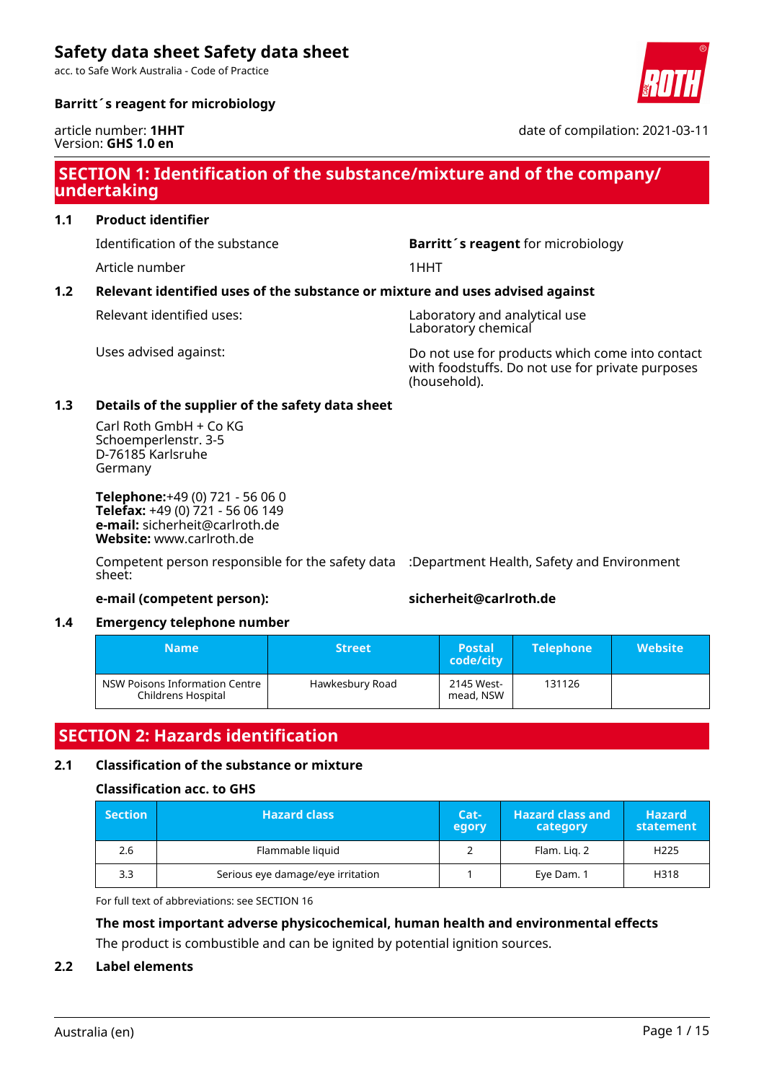acc. to Safe Work Australia - Code of Practice

## **Barritt´s reagent for microbiology**

#### article number: **1HHT** Version: **GHS 1.0 en**

## **SECTION 1: Identification of the substance/mixture and of the company/ undertaking**

### **1.1 Product identifier**

Article number 1HHT

Identification of the substance **Barritt´s reagent** for microbiology

## **1.2 Relevant identified uses of the substance or mixture and uses advised against**

Relevant identified uses: Laboratory and analytical use Laboratory chemical

Uses advised against: Do not use for products which come into contact with foodstuffs. Do not use for private purposes (household).

### **1.3 Details of the supplier of the safety data sheet**

Carl Roth GmbH + Co KG Schoemperlenstr. 3-5 D-76185 Karlsruhe Germany

**Telephone:**+49 (0) 721 - 56 06 0 **Telefax:** +49 (0) 721 - 56 06 149 **e-mail:** sicherheit@carlroth.de **Website:** www.carlroth.de

Competent person responsible for the safety data :Department Health, Safety and Environment sheet:

#### **e-mail (competent person): sicherheit@carlroth.de**

#### **1.4 Emergency telephone number**

| <b>Name</b>                                          | <b>Street</b>   | <b>Postal</b><br>code/city | <b>Telephone</b> | <b>Website</b> |
|------------------------------------------------------|-----------------|----------------------------|------------------|----------------|
| NSW Poisons Information Centre<br>Childrens Hospital | Hawkesbury Road | 2145 West-<br>mead, NSW    | 131126           |                |

## **SECTION 2: Hazards identification**

### **2.1 Classification of the substance or mixture**

#### **Classification acc. to GHS**

| <b>Section</b> | <b>Hazard class</b>               |  | <b>Hazard class and</b><br>category | <b>Hazard</b><br>statement |
|----------------|-----------------------------------|--|-------------------------------------|----------------------------|
| 2.6            | Flammable liquid                  |  | Flam. Lig. 2                        | H <sub>225</sub>           |
| 3.3            | Serious eye damage/eye irritation |  | Eye Dam. 1                          | H318                       |

For full text of abbreviations: see SECTION 16

## **The most important adverse physicochemical, human health and environmental effects** The product is combustible and can be ignited by potential ignition sources.

#### **2.2 Label elements**



date of compilation: 2021-03-11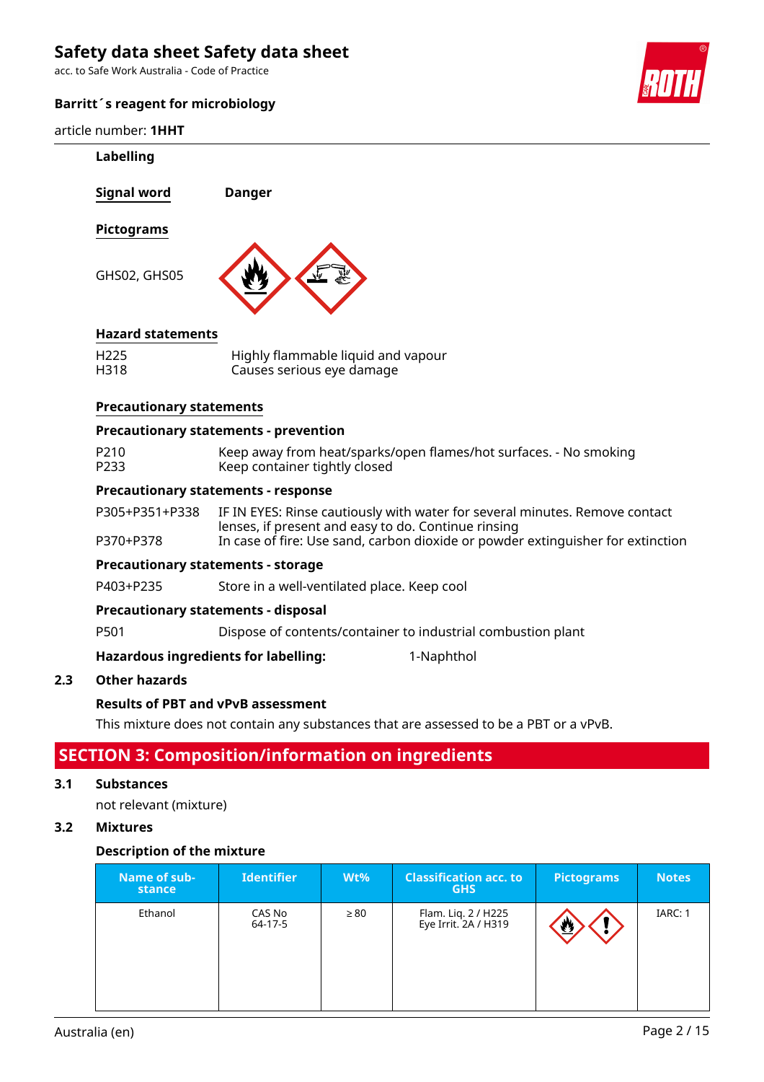acc. to Safe Work Australia - Code of Practice

## **Barritt´s reagent for microbiology**

article number: **1HHT**



|     | article number: <b>1HHT</b>     |                                                                                                                                                                                                                       |
|-----|---------------------------------|-----------------------------------------------------------------------------------------------------------------------------------------------------------------------------------------------------------------------|
|     | Labelling                       |                                                                                                                                                                                                                       |
|     | <b>Signal word</b>              | <b>Danger</b>                                                                                                                                                                                                         |
|     | <b>Pictograms</b>               |                                                                                                                                                                                                                       |
|     | GHS02, GHS05                    |                                                                                                                                                                                                                       |
|     | <b>Hazard statements</b>        |                                                                                                                                                                                                                       |
|     | H <sub>225</sub><br>H318        | Highly flammable liquid and vapour<br>Causes serious eye damage                                                                                                                                                       |
|     | <b>Precautionary statements</b> |                                                                                                                                                                                                                       |
|     |                                 | <b>Precautionary statements - prevention</b>                                                                                                                                                                          |
|     | P210<br>P233                    | Keep away from heat/sparks/open flames/hot surfaces. - No smoking<br>Keep container tightly closed                                                                                                                    |
|     |                                 | <b>Precautionary statements - response</b>                                                                                                                                                                            |
|     | P305+P351+P338<br>P370+P378     | IF IN EYES: Rinse cautiously with water for several minutes. Remove contact<br>lenses, if present and easy to do. Continue rinsing<br>In case of fire: Use sand, carbon dioxide or powder extinguisher for extinction |
|     |                                 | <b>Precautionary statements - storage</b>                                                                                                                                                                             |
|     | P403+P235                       | Store in a well-ventilated place. Keep cool                                                                                                                                                                           |
|     |                                 | <b>Precautionary statements - disposal</b>                                                                                                                                                                            |
|     | P501                            | Dispose of contents/container to industrial combustion plant                                                                                                                                                          |
|     |                                 | <b>Hazardous ingredients for labelling:</b><br>1-Naphthol                                                                                                                                                             |
| 2.3 | <b>Other hazards</b>            |                                                                                                                                                                                                                       |
|     |                                 | <b>Results of PBT and vPvB assessment</b>                                                                                                                                                                             |
|     |                                 | This mixture does not contain any substances that are assessed to be a PBT or a vPvB.                                                                                                                                 |
|     |                                 | <b>SECTION 3: Composition/information on ingredients</b>                                                                                                                                                              |
| 3.1 | <b>Substances</b>               |                                                                                                                                                                                                                       |
|     | not relevant (mixture)          |                                                                                                                                                                                                                       |

## **3.2 Mixtures**

## **Description of the mixture**

| Name of sub-<br>stance | <b>Identifier</b> | $Wt\%$    | <b>Classification acc. to</b><br><b>GHS</b> | Pictograms          | <b>Notes</b> |
|------------------------|-------------------|-----------|---------------------------------------------|---------------------|--------------|
| Ethanol                | CAS No<br>64-17-5 | $\geq 80$ | Flam. Liq. 2 / H225<br>Eye Irrit. 2A / H319 | $\overline{\omega}$ | IARC: 1      |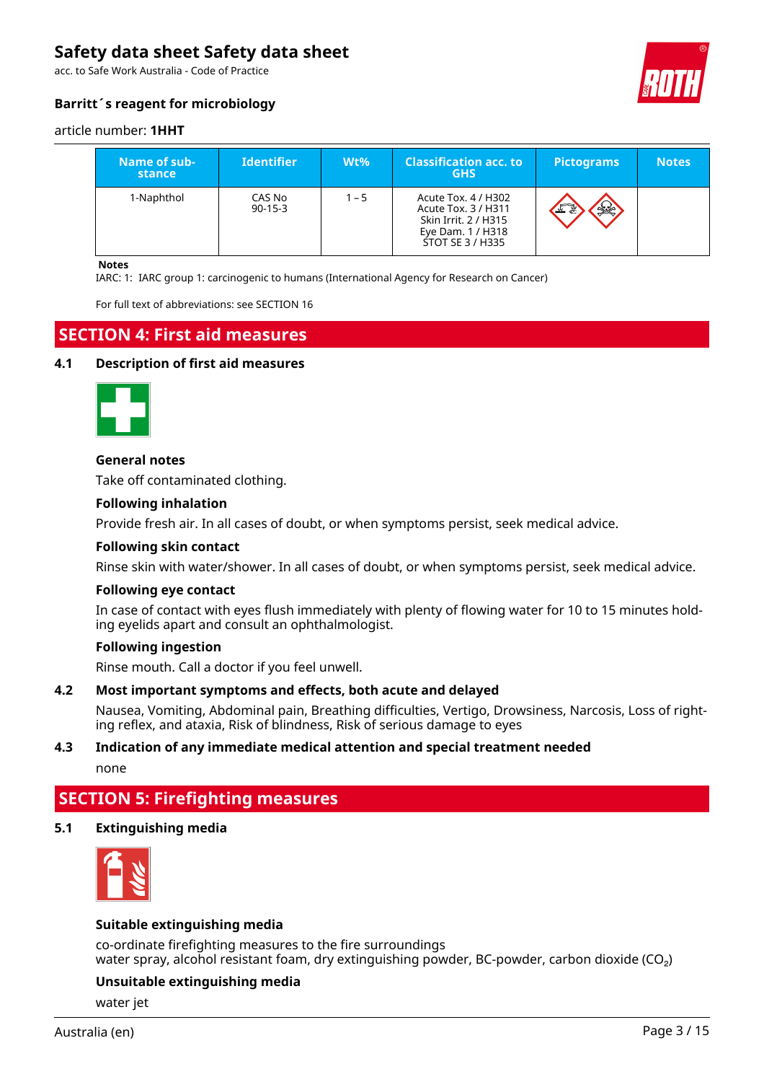acc. to Safe Work Australia - Code of Practice



## **Barritt´s reagent for microbiology**

#### article number: **1HHT**

| Name of sub-<br>stance | <b>Identifier</b>       | $Wt\%$  | <b>Classification acc. to</b><br><b>GHS</b>                                                                 | <b>Pictograms</b> | <b>Notes</b> |
|------------------------|-------------------------|---------|-------------------------------------------------------------------------------------------------------------|-------------------|--------------|
| 1-Naphthol             | CAS No<br>$90 - 15 - 3$ | $1 - 5$ | Acute Tox. 4 / H302<br>Acute Tox. 3 / H311<br>Skin Irrit. 2 / H315<br>Eye Dam. 1 / H318<br>STOT SE 3 / H335 | <b>SSE</b><br>ᆇ   |              |

#### **Notes**

IARC: 1: IARC group 1: carcinogenic to humans (International Agency for Research on Cancer)

For full text of abbreviations: see SECTION 16

## **SECTION 4: First aid measures**

#### **4.1 Description of first aid measures**



#### **General notes**

Take off contaminated clothing.

#### **Following inhalation**

Provide fresh air. In all cases of doubt, or when symptoms persist, seek medical advice.

#### **Following skin contact**

Rinse skin with water/shower. In all cases of doubt, or when symptoms persist, seek medical advice.

#### **Following eye contact**

In case of contact with eyes flush immediately with plenty of flowing water for 10 to 15 minutes holding eyelids apart and consult an ophthalmologist.

#### **Following ingestion**

Rinse mouth. Call a doctor if you feel unwell.

#### **4.2 Most important symptoms and effects, both acute and delayed**

Nausea, Vomiting, Abdominal pain, Breathing difficulties, Vertigo, Drowsiness, Narcosis, Loss of righting reflex, and ataxia, Risk of blindness, Risk of serious damage to eyes

#### **4.3 Indication of any immediate medical attention and special treatment needed**

none

## **SECTION 5: Firefighting measures**

### **5.1 Extinguishing media**



#### **Suitable extinguishing media**

co-ordinate firefighting measures to the fire surroundings water spray, alcohol resistant foam, dry extinguishing powder, BC-powder, carbon dioxide (CO<sub>2</sub>)

#### **Unsuitable extinguishing media**

water jet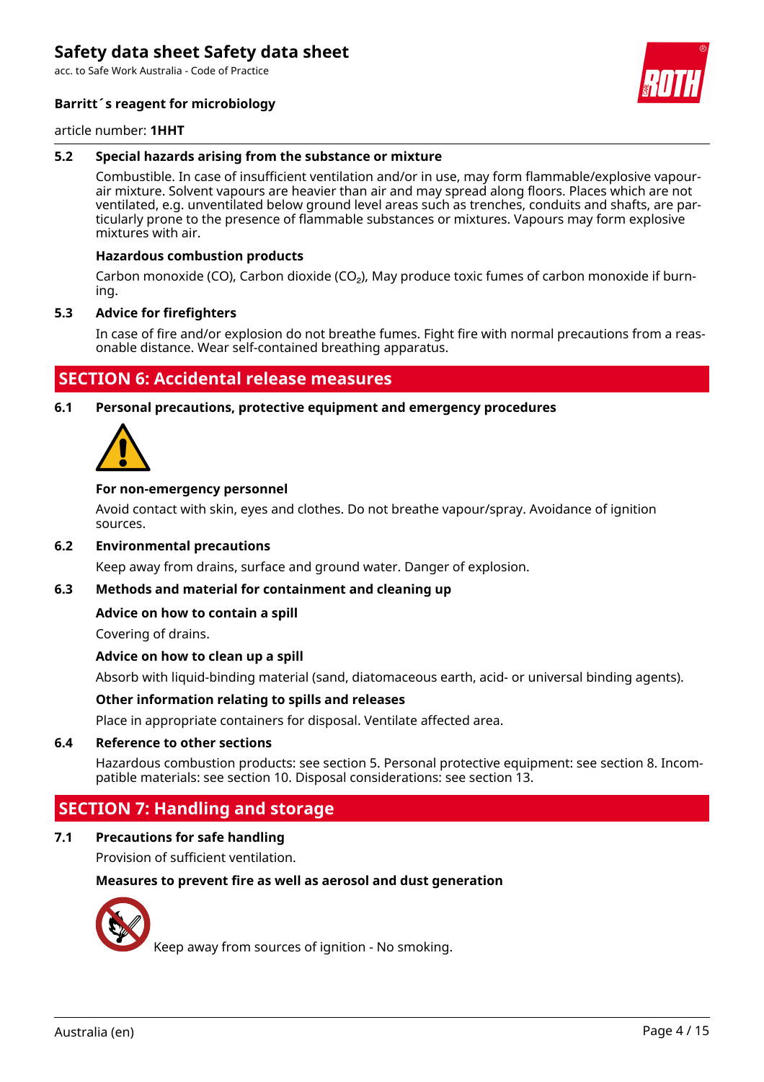acc. to Safe Work Australia - Code of Practice

### **Barritt´s reagent for microbiology**

article number: **1HHT**

### **5.2 Special hazards arising from the substance or mixture**

Combustible. In case of insufficient ventilation and/or in use, may form flammable/explosive vapourair mixture. Solvent vapours are heavier than air and may spread along floors. Places which are not ventilated, e.g. unventilated below ground level areas such as trenches, conduits and shafts, are particularly prone to the presence of flammable substances or mixtures. Vapours may form explosive mixtures with air.

#### **Hazardous combustion products**

Carbon monoxide (CO), Carbon dioxide (CO<sub>2</sub>), May produce toxic fumes of carbon monoxide if burning.

#### **5.3 Advice for firefighters**

In case of fire and/or explosion do not breathe fumes. Fight fire with normal precautions from a reasonable distance. Wear self-contained breathing apparatus.

## **SECTION 6: Accidental release measures**

**6.1 Personal precautions, protective equipment and emergency procedures**



#### **For non-emergency personnel**

Avoid contact with skin, eyes and clothes. Do not breathe vapour/spray. Avoidance of ignition sources.

#### **6.2 Environmental precautions**

Keep away from drains, surface and ground water. Danger of explosion.

#### **6.3 Methods and material for containment and cleaning up**

#### **Advice on how to contain a spill**

Covering of drains.

#### **Advice on how to clean up a spill**

Absorb with liquid-binding material (sand, diatomaceous earth, acid- or universal binding agents).

#### **Other information relating to spills and releases**

Place in appropriate containers for disposal. Ventilate affected area.

#### **6.4 Reference to other sections**

Hazardous combustion products: see section 5. Personal protective equipment: see section 8. Incompatible materials: see section 10. Disposal considerations: see section 13.

## **SECTION 7: Handling and storage**

## **7.1 Precautions for safe handling**

Provision of sufficient ventilation.

#### **Measures to prevent fire as well as aerosol and dust generation**



Keep away from sources of ignition - No smoking.

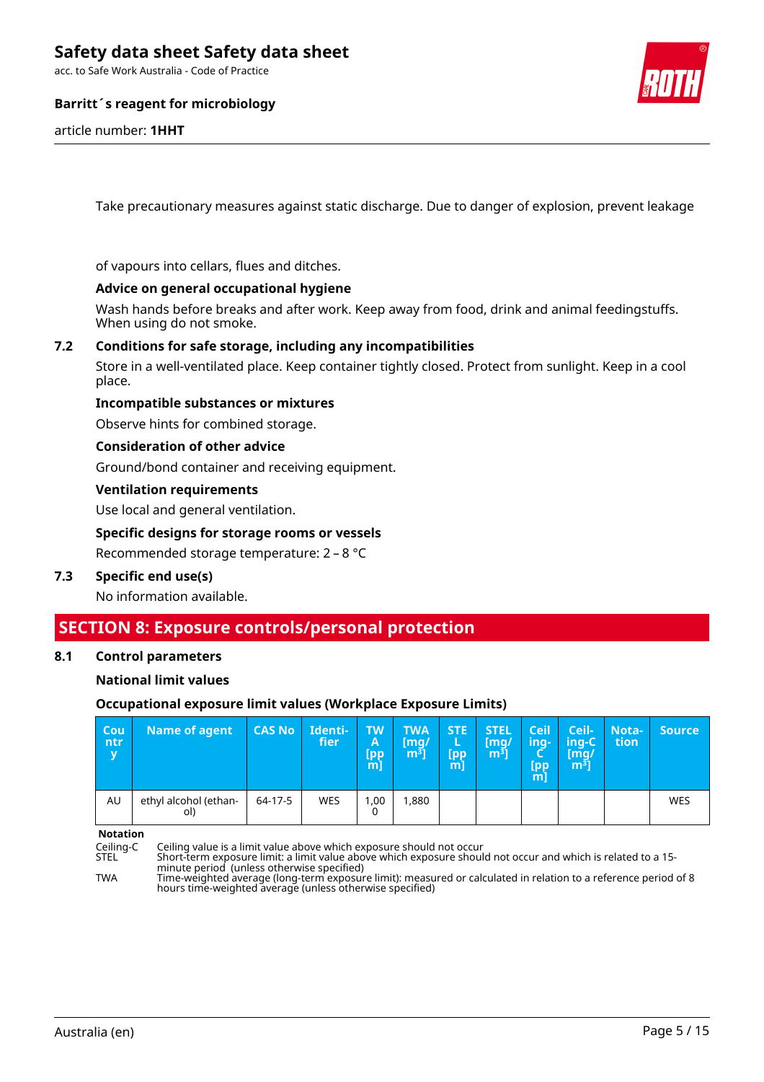acc. to Safe Work Australia - Code of Practice

### **Barritt´s reagent for microbiology**

article number: **1HHT**

Take precautionary measures against static discharge. Due to danger of explosion, prevent leakage

of vapours into cellars, flues and ditches.

#### **Advice on general occupational hygiene**

Wash hands before breaks and after work. Keep away from food, drink and animal feedingstuffs. When using do not smoke.

### **7.2 Conditions for safe storage, including any incompatibilities**

Store in a well-ventilated place. Keep container tightly closed. Protect from sunlight. Keep in a cool place.

#### **Incompatible substances or mixtures**

Observe hints for combined storage.

**Consideration of other advice**

Ground/bond container and receiving equipment.

#### **Ventilation requirements**

Use local and general ventilation.

#### **Specific designs for storage rooms or vessels**

Recommended storage temperature: 2 – 8 °C

#### **7.3 Specific end use(s)**

No information available.

## **SECTION 8: Exposure controls/personal protection**

#### **8.1 Control parameters**

#### **National limit values**

#### **Occupational exposure limit values (Workplace Exposure Limits)**

| <b>Cou</b><br>ntr/<br>$\overline{\mathbf{v}}$ | <b>Name of agent</b>         | <b>CAS No</b> | Identi-<br>fier | TW<br>$\mathsf{A}$<br><b>Ipp</b><br>$m$ ] | TWA<br>[mq/<br>m <sup>3</sup> | <b>STE</b><br>ь<br>[pp<br>m | <b>STEL</b><br>[mq/<br>m <sup>3</sup> | <b>Ceil</b><br>ing-<br>Ч<br>[pp<br>m] | Ceil-<br>'ing-C<br>[mq/<br>m <sup>3</sup> | Nota-<br>tion | <b>Source</b> |
|-----------------------------------------------|------------------------------|---------------|-----------------|-------------------------------------------|-------------------------------|-----------------------------|---------------------------------------|---------------------------------------|-------------------------------------------|---------------|---------------|
| AU                                            | ethyl alcohol (ethan-<br>ol) | 64-17-5       | <b>WES</b>      | ,00<br>0                                  | 1,880                         |                             |                                       |                                       |                                           |               | WES           |

**Notation**

Ceiling-C Ceiling value is a limit value above which exposure should not occur

STEL Short-term exposure limit: a limit value above which exposure should not occur and which is related to a 15 minute period (unless otherwise specified) TWA Time-weighted average (long-term exposure limit): measured or calculated in relation to a reference period of 8

hours time-weighted average (unless otherwise specified)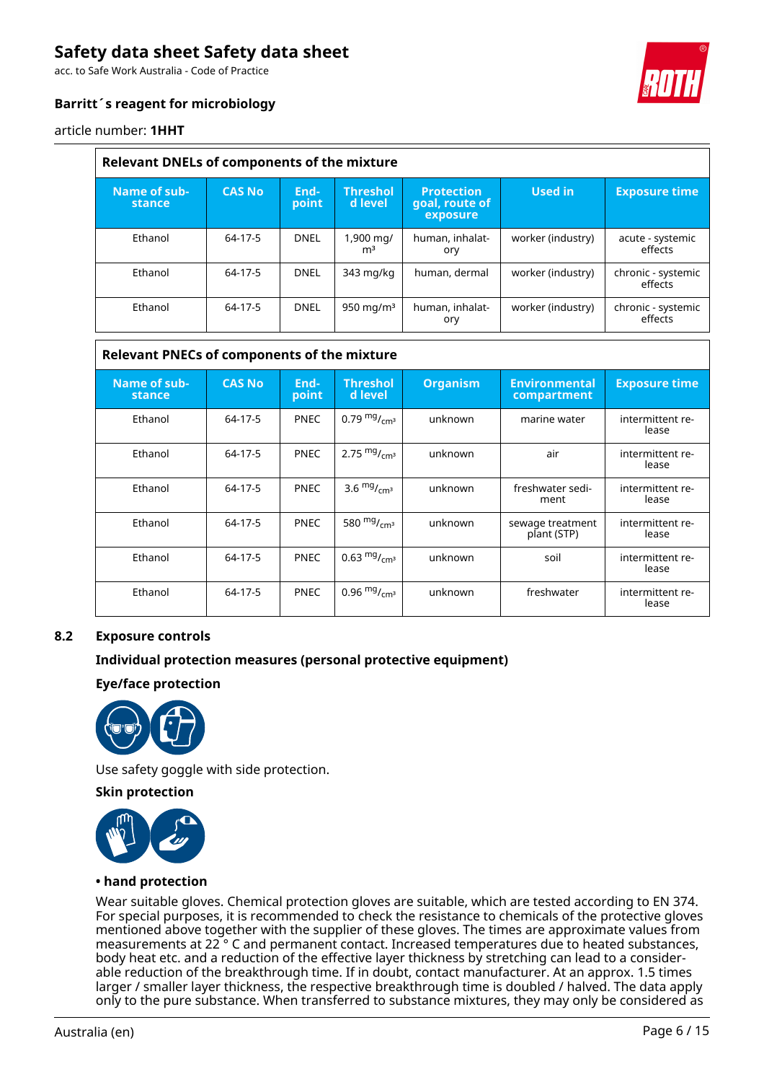acc. to Safe Work Australia - Code of Practice

## **Barritt´s reagent for microbiology**

article number: **1HHT**

| <b>Relevant DNELs of components of the mixture</b> |               |               |                             |                                                 |                   |                               |  |  |  |
|----------------------------------------------------|---------------|---------------|-----------------------------|-------------------------------------------------|-------------------|-------------------------------|--|--|--|
| Name of sub-<br>stance                             | <b>CAS No</b> | End-<br>point | <b>Threshol</b><br>d level  | <b>Protection</b><br>goal, route of<br>exposure | Used in           | <b>Exposure time</b>          |  |  |  |
| Ethanol                                            | 64-17-5       | <b>DNEL</b>   | 1,900 mg/<br>m <sup>3</sup> | human, inhalat-<br>ory                          | worker (industry) | acute - systemic<br>effects   |  |  |  |
| Ethanol                                            | 64-17-5       | <b>DNEL</b>   | 343 mg/kg                   | human, dermal                                   | worker (industry) | chronic - systemic<br>effects |  |  |  |
| Ethanol                                            | 64-17-5       | <b>DNEL</b>   | 950 mg/m $3$                | human, inhalat-<br>ory                          | worker (industry) | chronic - systemic<br>effects |  |  |  |

### **Relevant PNECs of components of the mixture**

| Name of sub-<br>stance | <b>CAS No</b> | End-<br>point | <b>Threshol</b><br>d level | <b>Organism</b> | <b>Environmental</b><br>compartment | <b>Exposure time</b>      |
|------------------------|---------------|---------------|----------------------------|-----------------|-------------------------------------|---------------------------|
| Ethanol                | 64-17-5       | <b>PNEC</b>   | 0.79 $mg/m1$               | unknown         | marine water                        | intermittent re-<br>lease |
| Ethanol                | 64-17-5       | <b>PNEC</b>   | 2.75 $mg/mcm3$             | unknown         | air                                 | intermittent re-<br>lease |
| Ethanol                | 64-17-5       | <b>PNEC</b>   | 3.6 $mg/mcm3$              | unknown         | freshwater sedi-<br>ment            | intermittent re-<br>lease |
| Ethanol                | 64-17-5       | <b>PNEC</b>   | 580 $mg/mcm3$              | unknown         | sewage treatment<br>plant (STP)     | intermittent re-<br>lease |
| Ethanol                | 64-17-5       | <b>PNEC</b>   | 0.63 $mg/m1$               | unknown         | soil                                | intermittent re-<br>lease |
| Ethanol                | 64-17-5       | <b>PNEC</b>   | 0.96 $mg/m3$               | unknown         | freshwater                          | intermittent re-<br>lease |

### **8.2 Exposure controls**

#### **Individual protection measures (personal protective equipment)**

#### **Eye/face protection**



Use safety goggle with side protection.

**Skin protection**



#### **• hand protection**

Wear suitable gloves. Chemical protection gloves are suitable, which are tested according to EN 374. For special purposes, it is recommended to check the resistance to chemicals of the protective gloves mentioned above together with the supplier of these gloves. The times are approximate values from measurements at 22 ° C and permanent contact. Increased temperatures due to heated substances, body heat etc. and a reduction of the effective layer thickness by stretching can lead to a considerable reduction of the breakthrough time. If in doubt, contact manufacturer. At an approx. 1.5 times larger / smaller layer thickness, the respective breakthrough time is doubled / halved. The data apply only to the pure substance. When transferred to substance mixtures, they may only be considered as

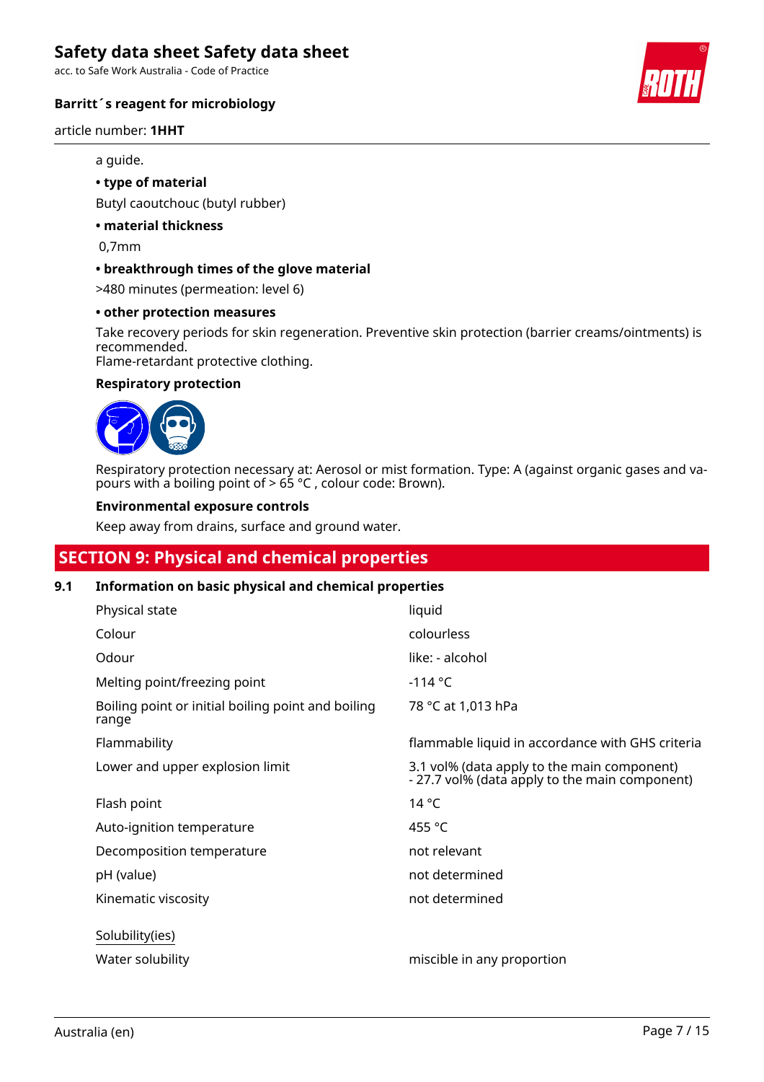acc. to Safe Work Australia - Code of Practice

### **Barritt´s reagent for microbiology**

article number: **1HHT**

#### a guide.

#### **• type of material**

Butyl caoutchouc (butyl rubber)

## **• material thickness**

0,7mm

#### **• breakthrough times of the glove material**

>480 minutes (permeation: level 6)

#### **• other protection measures**

Take recovery periods for skin regeneration. Preventive skin protection (barrier creams/ointments) is recommended.

Flame-retardant protective clothing.

#### **Respiratory protection**



Respiratory protection necessary at: Aerosol or mist formation. Type: A (against organic gases and vapours with a boiling point of  $> 65$  °C, colour code: Brown).

#### **Environmental exposure controls**

Keep away from drains, surface and ground water.

## **SECTION 9: Physical and chemical properties**

## **9.1 Information on basic physical and chemical properties**

| Physical state                                              | liquid                                                                                        |
|-------------------------------------------------------------|-----------------------------------------------------------------------------------------------|
| Colour                                                      | colourless                                                                                    |
| Odour                                                       | like: - alcohol                                                                               |
| Melting point/freezing point                                | $-114 °C$                                                                                     |
| Boiling point or initial boiling point and boiling<br>range | 78 °C at 1,013 hPa                                                                            |
| Flammability                                                | flammable liquid in accordance with GHS criteria                                              |
| Lower and upper explosion limit                             | 3.1 vol% (data apply to the main component)<br>- 27.7 vol% (data apply to the main component) |
| Flash point                                                 | $14^{\circ}$ C                                                                                |
| Auto-ignition temperature                                   | 455 °C                                                                                        |
| Decomposition temperature                                   | not relevant                                                                                  |
| pH (value)                                                  | not determined                                                                                |
| Kinematic viscosity                                         | not determined                                                                                |
| Solubility(ies)                                             |                                                                                               |
| Water solubility                                            | miscible in any proportion                                                                    |

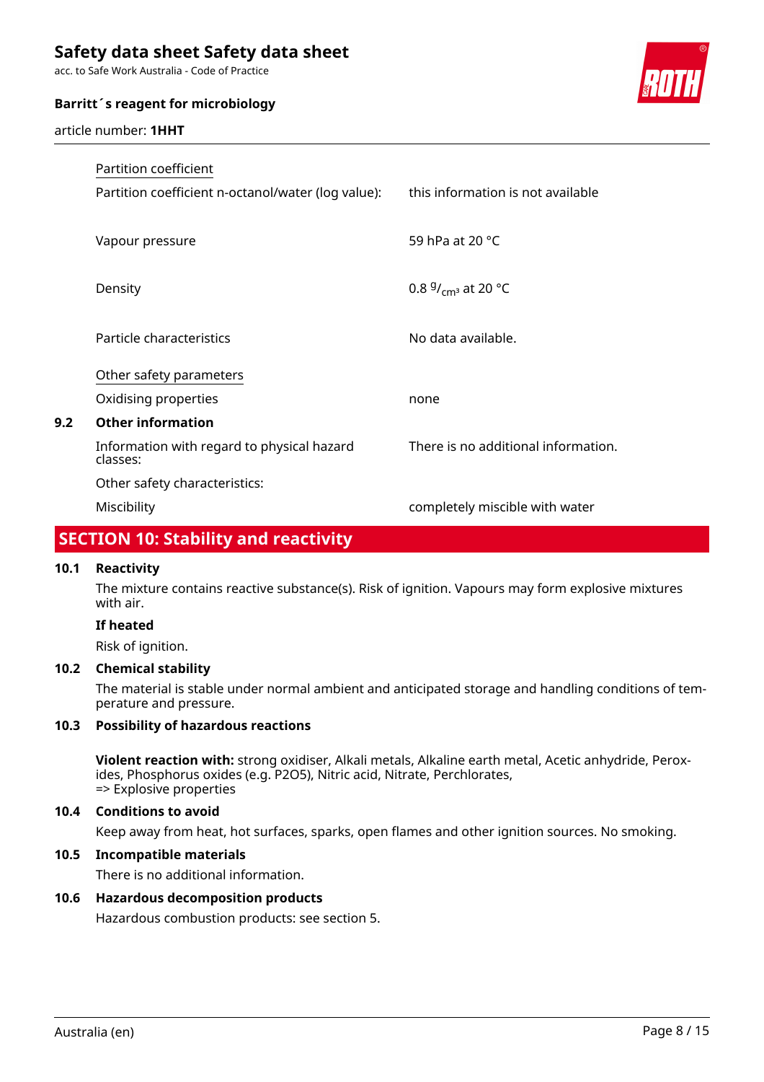acc. to Safe Work Australia - Code of Practice

#### **Barritt´s reagent for microbiology**

article number: **1HHT**



|     | Partition coefficient                                  |                                     |
|-----|--------------------------------------------------------|-------------------------------------|
|     | Partition coefficient n-octanol/water (log value):     | this information is not available   |
|     |                                                        |                                     |
|     | Vapour pressure                                        | 59 hPa at 20 °C                     |
|     |                                                        |                                     |
|     | Density                                                | 0.8 $9/_{cm^3}$ at 20 °C            |
|     | Particle characteristics                               | No data available.                  |
|     |                                                        |                                     |
|     | Other safety parameters                                |                                     |
|     | Oxidising properties                                   | none                                |
| 9.2 | <b>Other information</b>                               |                                     |
|     | Information with regard to physical hazard<br>classes: | There is no additional information. |
|     | Other safety characteristics:                          |                                     |
|     | Miscibility                                            | completely miscible with water      |

## **SECTION 10: Stability and reactivity**

### **10.1 Reactivity**

The mixture contains reactive substance(s). Risk of ignition. Vapours may form explosive mixtures with air.

### **If heated**

Risk of ignition.

## **10.2 Chemical stability**

The material is stable under normal ambient and anticipated storage and handling conditions of temperature and pressure.

### **10.3 Possibility of hazardous reactions**

**Violent reaction with:** strong oxidiser, Alkali metals, Alkaline earth metal, Acetic anhydride, Peroxides, Phosphorus oxides (e.g. P2O5), Nitric acid, Nitrate, Perchlorates, => Explosive properties

#### **10.4 Conditions to avoid**

Keep away from heat, hot surfaces, sparks, open flames and other ignition sources. No smoking.

#### **10.5 Incompatible materials**

There is no additional information.

#### **10.6 Hazardous decomposition products**

Hazardous combustion products: see section 5.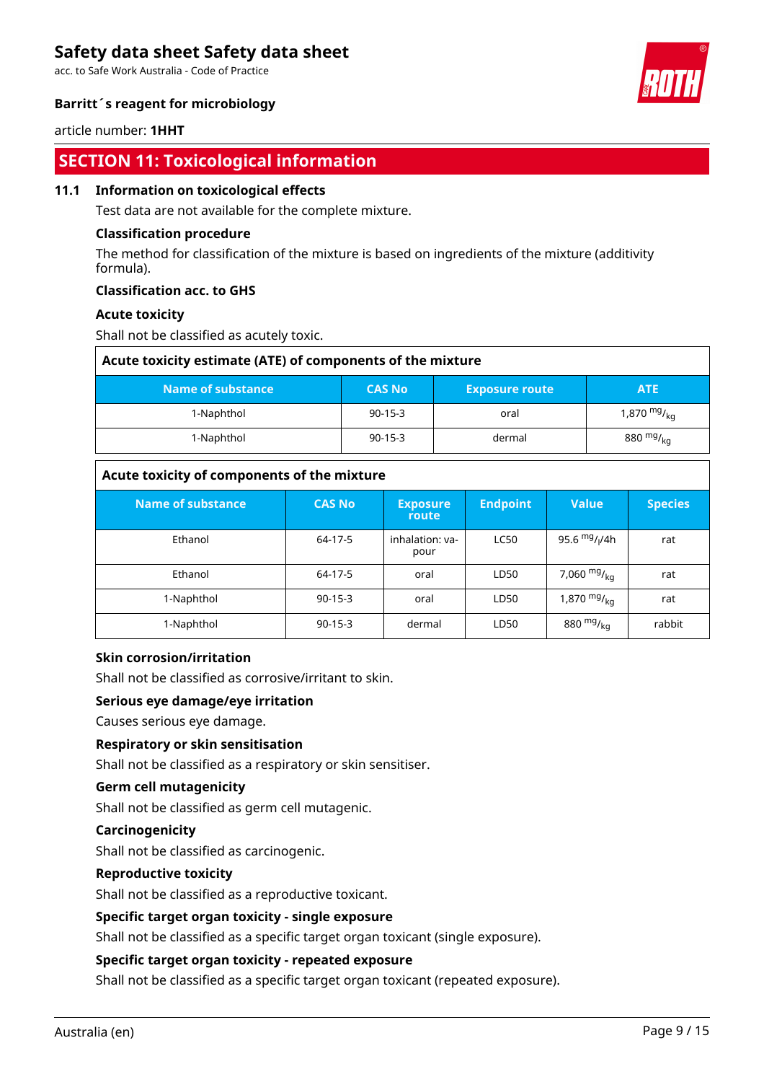acc. to Safe Work Australia - Code of Practice



### **Barritt´s reagent for microbiology**

article number: **1HHT**

## **SECTION 11: Toxicological information**

#### **11.1 Information on toxicological effects**

Test data are not available for the complete mixture.

#### **Classification procedure**

The method for classification of the mixture is based on ingredients of the mixture (additivity formula).

### **Classification acc. to GHS**

#### **Acute toxicity**

Shall not be classified as acutely toxic.

| Acute toxicity estimate (ATE) of components of the mixture |               |                       |                  |  |  |  |
|------------------------------------------------------------|---------------|-----------------------|------------------|--|--|--|
| Name of substance                                          | <b>CAS No</b> | <b>Exposure route</b> | <b>ATE</b>       |  |  |  |
| 1-Naphthol                                                 | $90-15-3$     | oral                  | 1,870 $mg/_{kq}$ |  |  |  |
| 1-Naphthol                                                 | $90-15-3$     | dermal                | 880 $mg/_{kq}$   |  |  |  |

## **Acute toxicity of components of the mixture**

| Name of substance | <b>CAS No</b> | <b>Exposure</b>          | <b>Endpoint</b> | <b>Value</b>     | <b>Species</b> |
|-------------------|---------------|--------------------------|-----------------|------------------|----------------|
| Ethanol           | 64-17-5       | route<br>inhalation: va- | <b>LC50</b>     | 95.6 $mg/1/4h$   | rat            |
|                   |               | pour                     |                 |                  |                |
| Ethanol           | 64-17-5       | oral                     | LD50            | 7,060 $mg/kq$    | rat            |
| 1-Naphthol        | $90 - 15 - 3$ | oral                     | LD50            | 1,870 $mgr_{kq}$ | rat            |
| 1-Naphthol        | $90-15-3$     | dermal                   | LD50            | 880 $mg/_{kq}$   | rabbit         |

#### **Skin corrosion/irritation**

Shall not be classified as corrosive/irritant to skin.

#### **Serious eye damage/eye irritation**

Causes serious eye damage.

#### **Respiratory or skin sensitisation**

Shall not be classified as a respiratory or skin sensitiser.

#### **Germ cell mutagenicity**

Shall not be classified as germ cell mutagenic.

#### **Carcinogenicity**

Shall not be classified as carcinogenic.

#### **Reproductive toxicity**

Shall not be classified as a reproductive toxicant.

#### **Specific target organ toxicity - single exposure**

Shall not be classified as a specific target organ toxicant (single exposure).

#### **Specific target organ toxicity - repeated exposure**

Shall not be classified as a specific target organ toxicant (repeated exposure).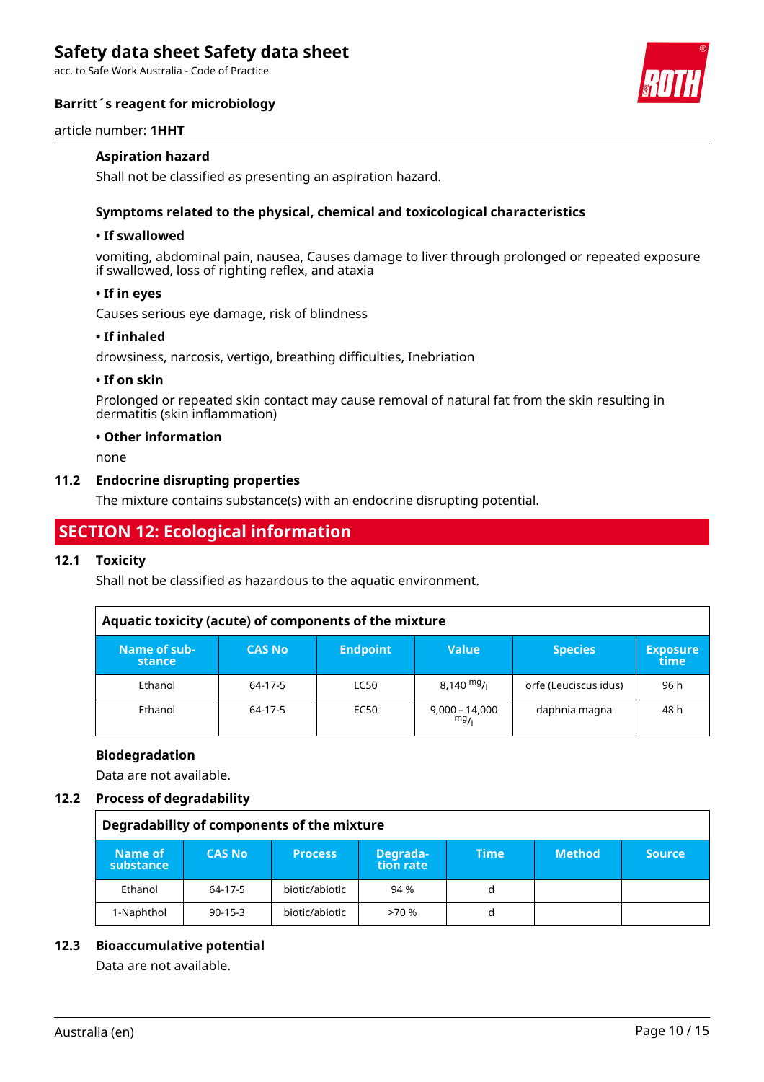acc. to Safe Work Australia - Code of Practice

### **Barritt´s reagent for microbiology**



#### article number: **1HHT**

### **Aspiration hazard**

Shall not be classified as presenting an aspiration hazard.

### **Symptoms related to the physical, chemical and toxicological characteristics**

### **• If swallowed**

vomiting, abdominal pain, nausea, Causes damage to liver through prolonged or repeated exposure if swallowed, loss of righting reflex, and ataxia

#### **• If in eyes**

Causes serious eye damage, risk of blindness

#### **• If inhaled**

drowsiness, narcosis, vertigo, breathing difficulties, Inebriation

### **• If on skin**

Prolonged or repeated skin contact may cause removal of natural fat from the skin resulting in dermatitis (skin inflammation)

#### **• Other information**

none

#### **11.2 Endocrine disrupting properties**

The mixture contains substance(s) with an endocrine disrupting potential.

## **SECTION 12: Ecological information**

#### **12.1 Toxicity**

Shall not be classified as hazardous to the aquatic environment.

| Aquatic toxicity (acute) of components of the mixture |               |                 |                      |                       |                         |
|-------------------------------------------------------|---------------|-----------------|----------------------|-----------------------|-------------------------|
| Name of sub-<br>stance                                | <b>CAS No</b> | <b>Endpoint</b> | <b>Value</b>         | <b>Species</b>        | <b>Exposure</b><br>time |
| Ethanol                                               | 64-17-5       | <b>LC50</b>     | $8,140 \frac{mg}{l}$ | orfe (Leuciscus idus) | 96 h                    |
| Ethanol                                               | 64-17-5       | EC50            | 9,000 – 14,000       | daphnia magna         | 48 h                    |

#### **Biodegradation**

Data are not available.

#### **12.2 Process of degradability**

#### **Degradability of components of the mixture**

| Name of<br>substance | <b>CAS No</b> | <b>Process</b> | Degrada-<br>tion rate | Time | <b>Method</b> | <b>Source</b> |
|----------------------|---------------|----------------|-----------------------|------|---------------|---------------|
| Ethanol              | 64-17-5       | biotic/abiotic | 94 %                  | d    |               |               |
| 1-Naphthol           | $90 - 15 - 3$ | biotic/abiotic | >70%                  | d    |               |               |

#### **12.3 Bioaccumulative potential**

Data are not available.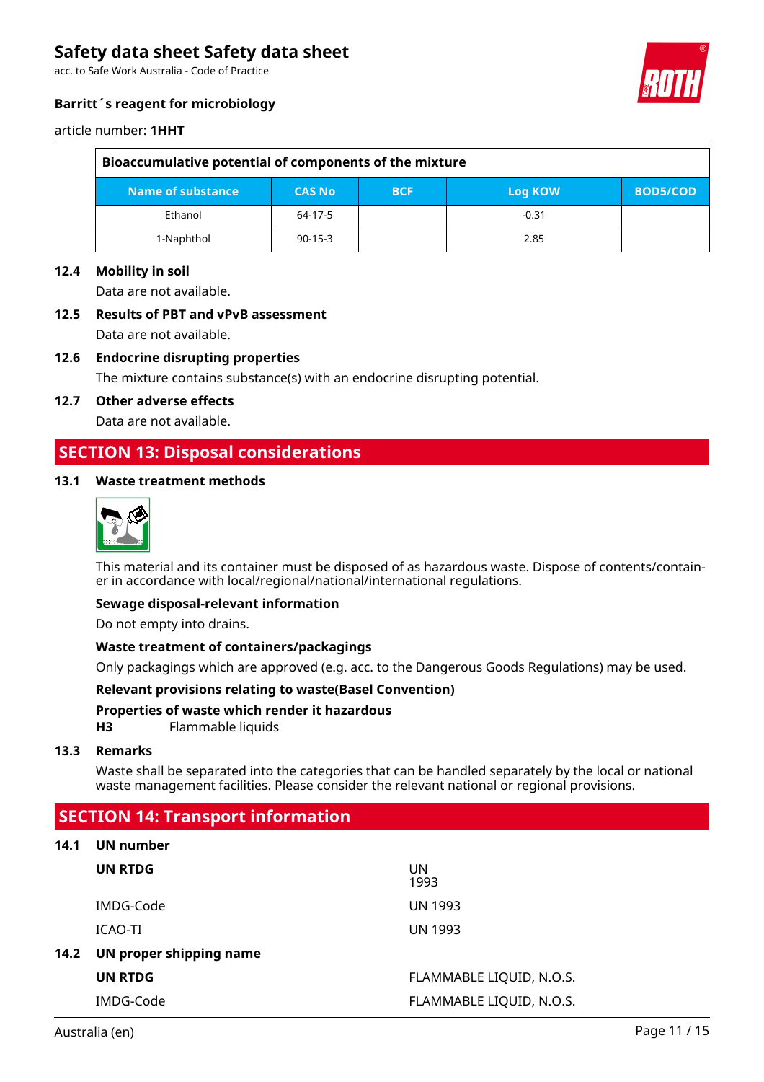acc. to Safe Work Australia - Code of Practice



## **Barritt´s reagent for microbiology**

#### article number: **1HHT**

| Bioaccumulative potential of components of the mixture |               |            |         |                 |
|--------------------------------------------------------|---------------|------------|---------|-----------------|
| Name of substance                                      | <b>CAS No</b> | <b>BCF</b> | Log KOW | <b>BOD5/COD</b> |
| Ethanol                                                | 64-17-5       |            | $-0.31$ |                 |
| 1-Naphthol                                             | $90 - 15 - 3$ |            | 2.85    |                 |

#### **12.4 Mobility in soil**

Data are not available.

## **12.5 Results of PBT and vPvB assessment** Data are not available.

## **12.6 Endocrine disrupting properties**

The mixture contains substance(s) with an endocrine disrupting potential.

#### **12.7 Other adverse effects**

Data are not available.

## **SECTION 13: Disposal considerations**

#### **13.1 Waste treatment methods**



This material and its container must be disposed of as hazardous waste. Dispose of contents/container in accordance with local/regional/national/international regulations.

#### **Sewage disposal-relevant information**

Do not empty into drains.

#### **Waste treatment of containers/packagings**

Only packagings which are approved (e.g. acc. to the Dangerous Goods Regulations) may be used.

#### **Relevant provisions relating to waste(Basel Convention)**

#### **Properties of waste which render it hazardous**

**H3** Flammable liquids

#### **13.3 Remarks**

Waste shall be separated into the categories that can be handled separately by the local or national waste management facilities. Please consider the relevant national or regional provisions.

## **SECTION 14: Transport information**

#### **14.1 UN number**

|      | UN RTDG                 | UN<br>1993               |
|------|-------------------------|--------------------------|
|      | IMDG-Code               | <b>UN 1993</b>           |
|      | ICAO-TI                 | <b>UN 1993</b>           |
| 14.2 | UN proper shipping name |                          |
|      | <b>UN RTDG</b>          | FLAMMABLE LIQUID, N.O.S. |
|      | IMDG-Code               | FLAMMABLE LIQUID, N.O.S. |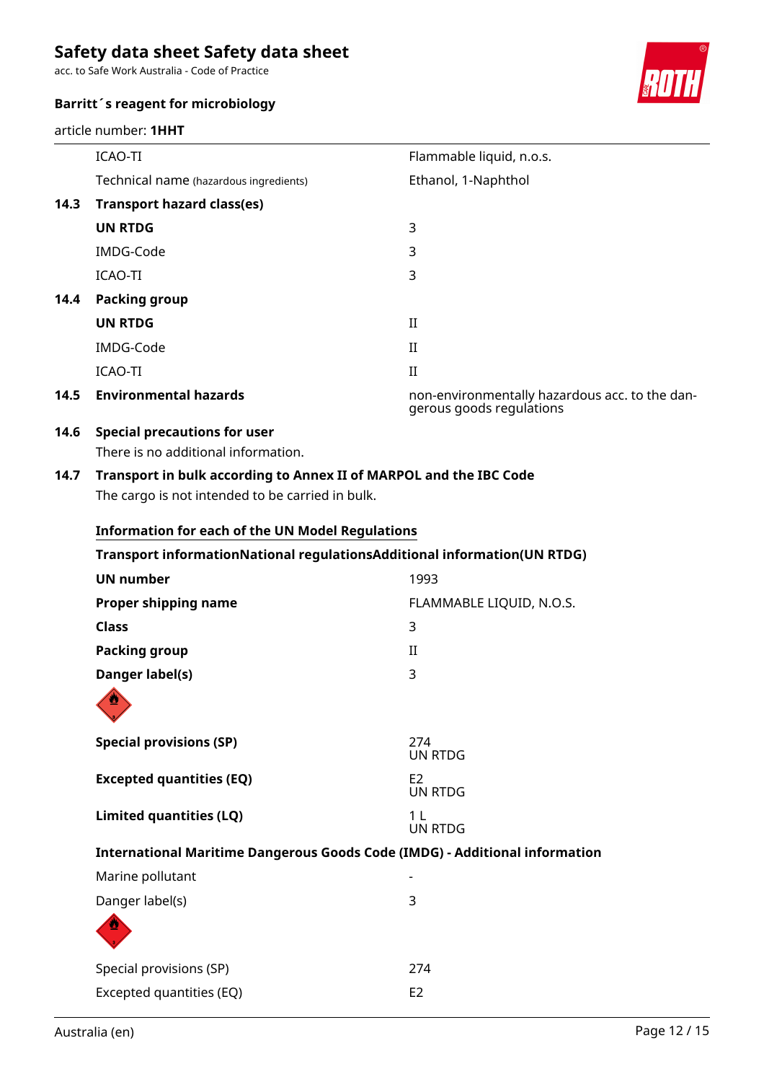acc. to Safe Work Australia - Code of Practice

### **Barritt´s reagent for microbiology**

article number: **1HHT**



|      | ICAO-TI                                | Flammable liquid, n.o.s.                                                   |
|------|----------------------------------------|----------------------------------------------------------------------------|
|      | Technical name (hazardous ingredients) | Ethanol, 1-Naphthol                                                        |
| 14.3 | <b>Transport hazard class(es)</b>      |                                                                            |
|      | <b>UN RTDG</b>                         | 3                                                                          |
|      | IMDG-Code                              | 3                                                                          |
|      | ICAO-TI                                | 3                                                                          |
| 14.4 | <b>Packing group</b>                   |                                                                            |
|      | <b>UN RTDG</b>                         | $_{\rm II}$                                                                |
|      | IMDG-Code                              | $_{\rm II}$                                                                |
|      | ICAO-TI                                | $\mathbf{I}$                                                               |
| 14.5 | <b>Environmental hazards</b>           | non-environmentally hazardous acc. to the dan-<br>gerous goods regulations |

## **14.6 Special precautions for user**

There is no additional information.

## **14.7 Transport in bulk according to Annex II of MARPOL and the IBC Code** The cargo is not intended to be carried in bulk.

Excepted quantities (EQ) E2

| <b>Information for each of the UN Model Regulations</b> |                                                                                    |
|---------------------------------------------------------|------------------------------------------------------------------------------------|
|                                                         | Transport informationNational regulationsAdditional information(UN RTDG)           |
| <b>UN number</b>                                        | 1993                                                                               |
| Proper shipping name                                    | FLAMMABLE LIQUID, N.O.S.                                                           |
| <b>Class</b>                                            | 3                                                                                  |
| <b>Packing group</b>                                    | $_{\rm II}$                                                                        |
| Danger label(s)                                         | 3                                                                                  |
|                                                         |                                                                                    |
| <b>Special provisions (SP)</b>                          | 274<br><b>UN RTDG</b>                                                              |
| <b>Excepted quantities (EQ)</b>                         | E <sub>2</sub><br><b>UN RTDG</b>                                                   |
| Limited quantities (LQ)                                 | 1 <sup>L</sup><br><b>UN RTDG</b>                                                   |
|                                                         | <b>International Maritime Dangerous Goods Code (IMDG) - Additional information</b> |
| Marine pollutant                                        |                                                                                    |
| Danger label(s)                                         | 3                                                                                  |
|                                                         |                                                                                    |
| Special provisions (SP)                                 | 274                                                                                |

### Australia (en) Page 12 / 15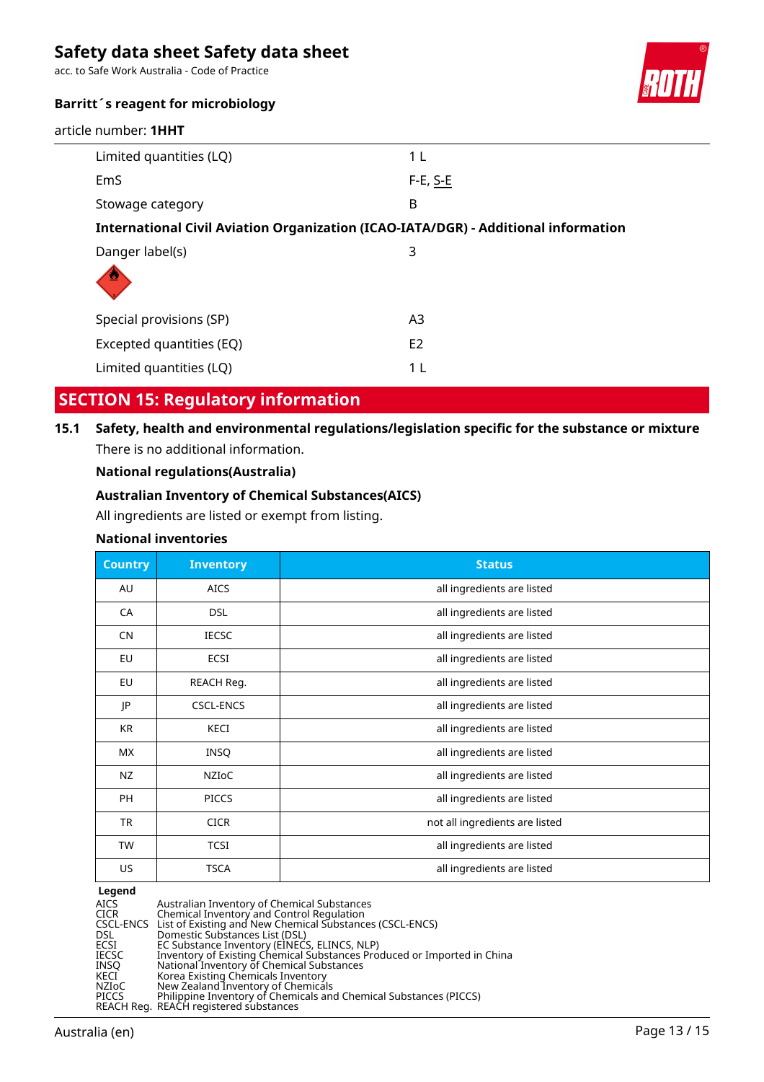acc. to Safe Work Australia - Code of Practice



## **Barritt´s reagent for microbiology**

article number: **1HHT**

| Limited quantities (LQ)                                                            | 1 L            |
|------------------------------------------------------------------------------------|----------------|
| EmS                                                                                | $F-E, S-E$     |
| Stowage category                                                                   | B              |
| International Civil Aviation Organization (ICAO-IATA/DGR) - Additional information |                |
| Danger label(s)                                                                    | 3              |
| Special provisions (SP)                                                            | A3             |
| Excepted quantities (EQ)                                                           | E <sub>2</sub> |
| Limited quantities (LQ)                                                            | 1 L            |

## **SECTION 15: Regulatory information**

**15.1 Safety, health and environmental regulations/legislation specific for the substance or mixture** There is no additional information.

### **National regulations(Australia)**

### **Australian Inventory of Chemical Substances(AICS)**

All ingredients are listed or exempt from listing.

### **National inventories**

| <b>Country</b> | <b>Inventory</b> | <b>Status</b>                  |
|----------------|------------------|--------------------------------|
| AU             | <b>AICS</b>      | all ingredients are listed     |
| CA             | <b>DSL</b>       | all ingredients are listed     |
| <b>CN</b>      | <b>IECSC</b>     | all ingredients are listed     |
| EU             | ECSI             | all ingredients are listed     |
| <b>EU</b>      | REACH Reg.       | all ingredients are listed     |
| JP             | <b>CSCL-ENCS</b> | all ingredients are listed     |
| <b>KR</b>      | <b>KECI</b>      | all ingredients are listed     |
| <b>MX</b>      | <b>INSQ</b>      | all ingredients are listed     |
| NZ             | NZIOC            | all ingredients are listed     |
| <b>PH</b>      | <b>PICCS</b>     | all ingredients are listed     |
| TR             | <b>CICR</b>      | not all ingredients are listed |
| <b>TW</b>      | <b>TCSI</b>      | all ingredients are listed     |
| US.            | <b>TSCA</b>      | all ingredients are listed     |

## **Legend**

AICS Australian Inventory of Chemical Substances<br>CICR Chemical Inventory and Control Regulation<br>CSCL-ENCS List of Existing and New Chemical Substances<br>DSL Domestic Substances List (DSL) CICR Chemical Inventory and Control Regulation CSCL-ENCS List of Existing and New Chemical Substances (CSCL-ENCS) DSL Domestic Substances List (DSL) ECSI EC Substance Inventory (EINECS, ELINCS, NLP) IECSC Inventory of Existing Chemical Substances Produced or Imported in China INSQ National Inventory of Chemical Substances KECI Korea Existing Chemicals Inventory NZIoC New Zealand Inventory of Chemicals PICCS Philippine Inventory of Chemicals and Chemical Substances (PICCS)

REACH Reg. REACH registered substances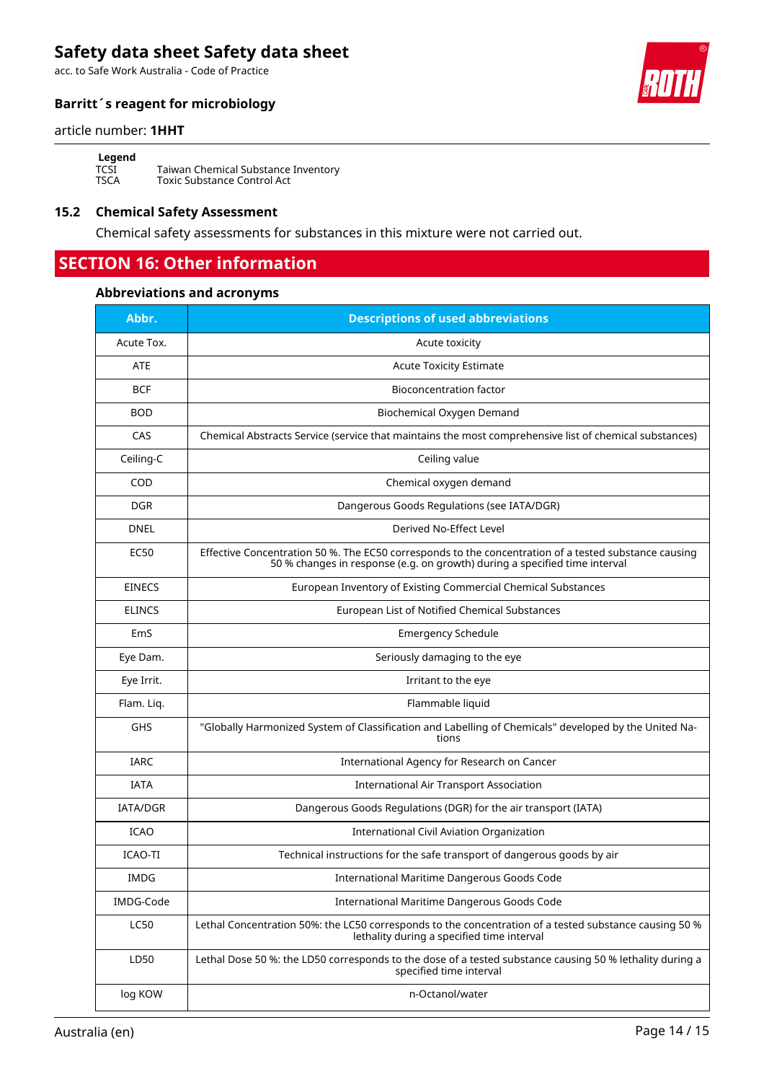acc. to Safe Work Australia - Code of Practice

## **Barritt´s reagent for microbiology**

#### article number: **1HHT**

**Legend**<br>TCSI<br>TSCA

TCSI Taiwan Chemical Substance Inventory TSCA Toxic Substance Control Act

## **15.2 Chemical Safety Assessment**

Chemical safety assessments for substances in this mixture were not carried out.

## **SECTION 16: Other information**

### **Abbreviations and acronyms**

| Abbr.           | <b>Descriptions of used abbreviations</b>                                                                                                                                           |  |  |
|-----------------|-------------------------------------------------------------------------------------------------------------------------------------------------------------------------------------|--|--|
| Acute Tox.      | Acute toxicity                                                                                                                                                                      |  |  |
| <b>ATE</b>      | <b>Acute Toxicity Estimate</b>                                                                                                                                                      |  |  |
| <b>BCF</b>      | <b>Bioconcentration factor</b>                                                                                                                                                      |  |  |
| <b>BOD</b>      | Biochemical Oxygen Demand                                                                                                                                                           |  |  |
| CAS             | Chemical Abstracts Service (service that maintains the most comprehensive list of chemical substances)                                                                              |  |  |
| Ceiling-C       | Ceiling value                                                                                                                                                                       |  |  |
| COD             | Chemical oxygen demand                                                                                                                                                              |  |  |
| <b>DGR</b>      | Dangerous Goods Regulations (see IATA/DGR)                                                                                                                                          |  |  |
| <b>DNEL</b>     | Derived No-Effect Level                                                                                                                                                             |  |  |
| <b>EC50</b>     | Effective Concentration 50 %. The EC50 corresponds to the concentration of a tested substance causing<br>50 % changes in response (e.g. on growth) during a specified time interval |  |  |
| <b>EINECS</b>   | European Inventory of Existing Commercial Chemical Substances                                                                                                                       |  |  |
| <b>ELINCS</b>   | European List of Notified Chemical Substances                                                                                                                                       |  |  |
| EmS             | <b>Emergency Schedule</b>                                                                                                                                                           |  |  |
| Eye Dam.        | Seriously damaging to the eye                                                                                                                                                       |  |  |
| Eye Irrit.      | Irritant to the eye                                                                                                                                                                 |  |  |
| Flam. Liq.      | Flammable liquid                                                                                                                                                                    |  |  |
| <b>GHS</b>      | "Globally Harmonized System of Classification and Labelling of Chemicals" developed by the United Na-<br>tions                                                                      |  |  |
| <b>IARC</b>     | International Agency for Research on Cancer                                                                                                                                         |  |  |
| <b>IATA</b>     | <b>International Air Transport Association</b>                                                                                                                                      |  |  |
| <b>IATA/DGR</b> | Dangerous Goods Regulations (DGR) for the air transport (IATA)                                                                                                                      |  |  |
| <b>ICAO</b>     | International Civil Aviation Organization                                                                                                                                           |  |  |
| <b>ICAO-TI</b>  | Technical instructions for the safe transport of dangerous goods by air                                                                                                             |  |  |
| <b>IMDG</b>     | International Maritime Dangerous Goods Code                                                                                                                                         |  |  |
| IMDG-Code       | International Maritime Dangerous Goods Code                                                                                                                                         |  |  |
| <b>LC50</b>     | Lethal Concentration 50%: the LC50 corresponds to the concentration of a tested substance causing 50 %<br>lethality during a specified time interval                                |  |  |
| LD50            | Lethal Dose 50 %: the LD50 corresponds to the dose of a tested substance causing 50 % lethality during a<br>specified time interval                                                 |  |  |
| log KOW         | n-Octanol/water                                                                                                                                                                     |  |  |